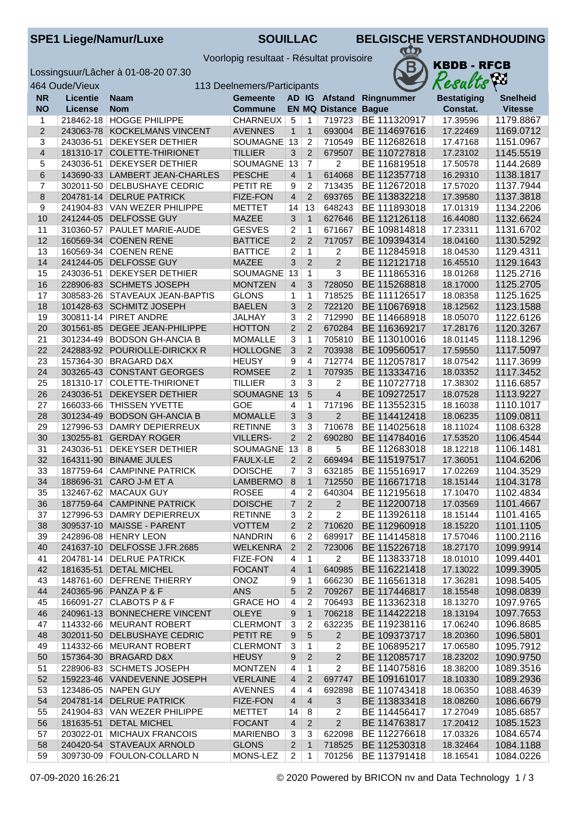SPE1 Liege/Namur/Luxe **SOUILLAC** BELGISCHE VERSTANDHOUDING

Voorlopig resultaat - Résultat provisoire

Lossingsuur/Lâcher à 01-08-20 07.30



|                | 464 Oude/Vieux<br>113 Deelnemers/Participants |                                                   |                               |                     |                     |                             | Results                      | <b>A</b> <sub>20</sub> |                        |
|----------------|-----------------------------------------------|---------------------------------------------------|-------------------------------|---------------------|---------------------|-----------------------------|------------------------------|------------------------|------------------------|
| <b>NR</b>      | <b>Licentie</b>                               | <b>Naam</b>                                       | <b>Gemeente</b>               |                     |                     |                             | AD IG Afstand Ringnummer     | <b>Bestatiging</b>     | <b>Snelheid</b>        |
| <b>NO</b>      | <b>License</b>                                | <b>Nom</b>                                        | <b>Commune</b>                |                     |                     | <b>EN MQ Distance Bague</b> |                              | Constat.               | <b>Vitesse</b>         |
| $\mathbf{1}$   |                                               | 218462-18 HOGGE PHILIPPE                          | <b>CHARNEUX</b>               | $\sqrt{5}$          | $\mathbf{1}$        | 719723                      | BE 111320917                 | 17.39596               | 1179.8867              |
| $\overline{2}$ |                                               | 243063-78 KOCKELMANS VINCENT                      | <b>AVENNES</b>                | $\mathbf{1}$        | $\mathbf{1}$        | 693004                      | BE 114697616                 | 17.22469               | 1169.0712              |
| 3              | 243036-51                                     | <b>DEKEYSER DETHIER</b>                           | SOUMAGNE 13                   |                     | $\overline{2}$      | 710549                      | BE 112682618                 | 17.47168               | 1151.0967              |
| $\overline{4}$ |                                               | 181310-17 COLETTE-THIRIONET                       | <b>TILLIER</b>                | 3                   | $\overline{2}$      | 679507                      | BE 110727818                 | 17.23102               | 1145.5519              |
| 5              | 243036-51                                     | <b>DEKEYSER DETHIER</b>                           | <b>SOUMAGNE</b>               | 13                  | $\overline{7}$      | $\overline{2}$              | BE 116819518                 | 17.50578               | 1144.2689              |
| 6              |                                               | 143690-33 LAMBERT JEAN-CHARLES                    | <b>PESCHE</b>                 | $\overline{4}$      | $\mathbf{1}$        | 614068                      | BE 112357718                 | 16.29310               | 1138.1817              |
| 7              |                                               | 302011-50   DELBUSHAYE CEDRIC                     | PETIT RE                      | 9                   | $\overline{2}$      | 713435                      | BE 112672018                 | 17.57020               | 1137.7944              |
| 8              | 204781-14                                     | <b>DELRUE PATRICK</b>                             | FIZE-FON                      | $\overline{4}$      | $\overline{2}$      | 693765                      | BE 113832218                 | 17.39580               | 1137.3818              |
| 9              |                                               | 241904-83 VAN WEZER PHILIPPE                      | <b>METTET</b>                 | 14                  | 13                  | 648243                      | BE 111893018                 | 17.01319               | 1134.2206              |
| 10             |                                               | 241244-05 DELFOSSE GUY                            | <b>MAZEE</b>                  | 3                   | $\mathbf{1}$        | 627646                      | BE 112126118                 | 16.44080               | 1132.6624              |
| 11             |                                               | 310360-57   PAULET MARIE-AUDE                     | <b>GESVES</b>                 | $\overline{2}$      | $\mathbf{1}$        | 671667                      | BE 109814818                 | 17.23311               | 1131.6702              |
| 12             |                                               | 160569-34 COENEN RENE                             | <b>BATTICE</b>                | 2                   | 2                   | 717057                      | BE 109394314                 | 18.04160               | 1130.5292              |
| 13             |                                               | 160569-34 COENEN RENE                             | <b>BATTICE</b>                | 2                   | $\mathbf{1}$        | $\overline{2}$              | BE 112845918                 | 18.04530               | 1129.4311              |
| 14             |                                               | 241244-05 DELFOSSE GUY                            | <b>MAZEE</b>                  | 3                   | $\overline{2}$      | $\overline{2}$              | BE 112121718                 | 16.45510               | 1129.1643              |
| 15             | 243036-51                                     | <b>DEKEYSER DETHIER</b>                           | SOUMAGNE                      | 13                  | $\mathbf{1}$        | 3                           | BE 111865316                 | 18.01268               | 1125.2716              |
| 16             |                                               | 228906-83 SCHMETS JOSEPH                          | <b>MONTZEN</b>                | $\overline{4}$      | 3                   | 728050                      | BE 115268818                 | 18.17000               | 1125.2705              |
| 17             |                                               | 308583-26 STAVEAUX JEAN-BAPTIS                    | <b>GLONS</b>                  | 1                   | $\mathbf{1}$        | 718525                      | BE 111126517                 | 18.08358               | 1125.1625              |
| 18             |                                               | 101428-63 SCHMITZ JOSEPH                          | <b>BAELEN</b>                 | 3                   | $\overline{2}$      | 722120                      | BE 110676918                 | 18.12562               | 1123.1588              |
| 19             |                                               | 300811-14   PIRET ANDRE                           | JALHAY                        | 3                   | $\overline{2}$      | 712990                      | BE 114668918                 | 18.05070               | 1122.6126              |
| 20             |                                               | 301561-85 DEGEE JEAN-PHILIPPE                     | <b>HOTTON</b>                 | $\overline{2}$      | $\overline{2}$      | 670284                      | BE 116369217                 | 17.28176               | 1120.3267              |
| 21             |                                               | 301234-49 BODSON GH-ANCIA B                       | <b>MOMALLE</b>                | 3                   | $\mathbf{1}$        | 705810                      | BE 113010016                 | 18.01145               | 1118.1296              |
| 22             |                                               | 242883-92 POURIOLLE-DIRICKX R                     | <b>HOLLOGNE</b>               | $\mathbf{3}$        | $\overline{2}$      | 703938                      | BE 109560517                 | 17.59550               | 1117.5097              |
| 23             |                                               | 157364-30 BRAGARD D&X                             | <b>HEUSY</b>                  | 9                   | $\overline{4}$      | 712774                      | BE 112057817                 | 18.07542               | 1117.3699              |
| 24             |                                               | 303265-43 CONSTANT GEORGES                        | <b>ROMSEE</b>                 | $\overline{2}$      | $\mathbf{1}$        | 707935                      | BE 113334716                 | 18.03352               | 1117.3452              |
| 25             |                                               | 181310-17 COLETTE-THIRIONET                       | <b>TILLIER</b>                | 3                   | 3                   | $\overline{c}$              | BE 110727718                 | 17.38302               | 1116.6857              |
| 26             | 243036-51                                     | <b>DEKEYSER DETHIER</b>                           | <b>SOUMAGNE</b><br><b>GOE</b> | 13                  | 5                   | $\overline{4}$              | BE 109272517                 | 18.07528               | 1113.9227              |
| 27             | 166033-66                                     | <b>THISSEN YVETTE</b><br><b>BODSON GH-ANCIA B</b> | <b>MOMALLE</b>                | 4                   | 1<br>$\overline{3}$ | 717196<br>$\overline{2}$    | BE 113552315<br>BE 114412418 | 18.16038               | 1110.1017<br>1109.0811 |
| 28<br>29       | 301234-49                                     | 127996-53 DAMRY DEPIERREUX                        | <b>RETINNE</b>                | 3<br>$\overline{3}$ | $\overline{3}$      | 710678                      | BE 114025618                 | 18.06235<br>18.11024   | 1108.6328              |
| 30             |                                               | 130255-81 GERDAY ROGER                            | <b>VILLERS-</b>               | $\overline{2}$      | $\overline{2}$      | 690280                      | BE 114784016                 | 17.53520               | 1106.4544              |
| 31             | 243036-51                                     | <b>DEKEYSER DETHIER</b>                           | SOUMAGNE                      | 13                  | 8                   | $\overline{5}$              | BE 112683018                 | 18.12218               | 1106.1481              |
| 32             |                                               | 164311-90 BINAME JULES                            | <b>FAULX-LE</b>               | $\overline{2}$      | 2                   | 669494                      | BE 115197517                 | 17.36051               | 1104.6206              |
| 33             |                                               | 187759-64 CAMPINNE PATRICK                        | <b>DOISCHE</b>                | 7                   | 3                   | 632185                      | BE 115516917                 | 17.02269               | 1104.3529              |
| 34             |                                               | 188696-31 CARO J-M ET A                           | <b>LAMBERMO</b>               | 8                   | $\mathbf{1}$        | 712550                      | BE 116671718                 | 18.15144               | 1104.3178              |
| 35             |                                               | 132467-62 MACAUX GUY                              | <b>ROSEE</b>                  | 4                   | $\overline{2}$      | 640304                      | BE 112195618                 | 17.10470               | 1102.4834              |
| 36             |                                               | 187759-64 CAMPINNE PATRICK                        | <b>DOISCHE</b>                | $\overline{7}$      | 2                   | $\overline{2}$              | BE 112200718                 | 17.03569               | 1101.4667              |
| 37             |                                               | 127996-53 DAMRY DEPIERREUX                        | <b>RETINNE</b>                | $3 \mid 2$          |                     | $\overline{2}$              | BE 113926118                 | 18.15144               | 1101.4165              |
| 38             |                                               | 309537-10 MAISSE - PARENT                         | <b>VOTTEM</b>                 | $\overline{2}$      | $\overline{2}$      | 710620                      | BE 112960918                 | 18.15220               | 1101.1105              |
| 39             |                                               | 242896-08 HENRY LEON                              | <b>NANDRIN</b>                | 6                   | $\overline{c}$      | 689917                      | BE 114145818                 | 17.57046               | 1100.2116              |
| 40             |                                               | 241637-10 DELFOSSE J.FR.2685                      | <b>WELKENRA</b>               | $\overline{2}$      | $\overline{2}$      | 723006                      | BE 115226718                 | 18.27170               | 1099.9914              |
| 41             |                                               | 204781-14 DELRUE PATRICK                          | <b>FIZE-FON</b>               | 4                   | $\mathbf{1}$        | $\overline{2}$              | BE 113833718                 | 18.01010               | 1099.4401              |
| 42             |                                               | 181635-51 DETAL MICHEL                            | <b>FOCANT</b>                 | 4                   | $\mathbf{1}$        | 640985                      | BE 116221418                 | 17.13022               | 1099.3905              |
| 43             |                                               | 148761-60 DEFRENE THIERRY                         | ONOZ                          | 9                   | $\mathbf{1}$        | 666230                      | BE 116561318                 | 17.36281               | 1098.5405              |
| 44             |                                               | 240365-96 PANZA P & F                             | <b>ANS</b>                    | 5                   | $\overline{2}$      | 709267                      | BE 117446817                 | 18.15548               | 1098.0839              |
| 45             |                                               | 166091-27 CLABOTS P & F                           | <b>GRACE HO</b>               | 4                   | 2                   | 706493                      | BE 113362318                 | 18.13270               | 1097.9765              |
| 46             |                                               | 240961-13 BONNECHERE VINCENT                      | OLEYE                         | 9                   | $\mathbf{1}$        | 706218                      | BE 114422218                 | 18.13194               | 1097.7653              |
| 47             |                                               | 114332-66   MEURANT ROBERT                        | <b>CLERMONT</b>               | 3                   | $\overline{c}$      | 632235                      | BE 119238116                 | 17.06240               | 1096.8685              |
| 48             |                                               | 302011-50 DELBUSHAYE CEDRIC                       | PETIT RE                      | 9                   | $\overline{5}$      | $\overline{2}$              | BE 109373717                 | 18.20360               | 1096.5801              |
| 49             |                                               | 114332-66 MEURANT ROBERT                          | <b>CLERMONT</b>               | 3                   | $\mathbf{1}$        | $\overline{c}$              | BE 106895217                 | 17.06580               | 1095.7912              |
| 50             |                                               | 157364-30 BRAGARD D&X                             | <b>HEUSY</b>                  | 9                   | $\overline{2}$      | $\overline{2}$              | BE 112085717                 | 18.23202               | 1090.9750              |
| 51             |                                               | 228906-83 SCHMETS JOSEPH                          | <b>MONTZEN</b>                | 4                   | $\mathbf{1}$        | $\overline{2}$              | BE 114075816                 | 18.38200               | 1089.3516              |
| 52             |                                               | 159223-46 VANDEVENNE JOSEPH                       | <b>VERLAINE</b>               | $\overline{4}$      | $\overline{2}$      | 697747                      | BE 109161017                 | 18.10330               | 1089.2936              |
| 53             |                                               | 123486-05 NAPEN GUY                               | <b>AVENNES</b>                | 4                   | 4                   | 692898                      | BE 110743418                 | 18.06350               | 1088.4639              |
| 54             |                                               | 204781-14 DELRUE PATRICK                          | <b>FIZE-FON</b>               | $\overline{4}$      | $\overline{4}$      | 3                           | BE 113833418                 | 18.08260               | 1086.6679              |
| 55             |                                               | 241904-83 VAN WEZER PHILIPPE                      | <b>METTET</b>                 | 14                  | 8                   | 2                           | BE 114456417                 | 17.27049               | 1085.6857              |
| 56             |                                               | 181635-51 DETAL MICHEL                            | <b>FOCANT</b>                 | $\overline{4}$      | $\overline{2}$      | $\overline{2}$              | BE 114763817                 | 17.20412               | 1085.1523              |
| 57             |                                               | 203022-01   MICHAUX FRANCOIS                      | <b>MARIENBO</b>               | 3                   | 3                   | 622098                      | BE 112276618                 | 17.03326               | 1084.6574              |
| 58             |                                               | 240420-54 STAVEAUX ARNOLD                         | <b>GLONS</b>                  | 2                   | $\mathbf{1}$        | 718525                      | BE 112530318                 | 18.32464               | 1084.1188              |
| 59             |                                               | 309730-09 FOULON-COLLARD N                        | MONS-LEZ                      | $\overline{2}$      | $\mathbf{1}$        | 701256                      | BE 113791418                 | 18.16541               | 1084.0226              |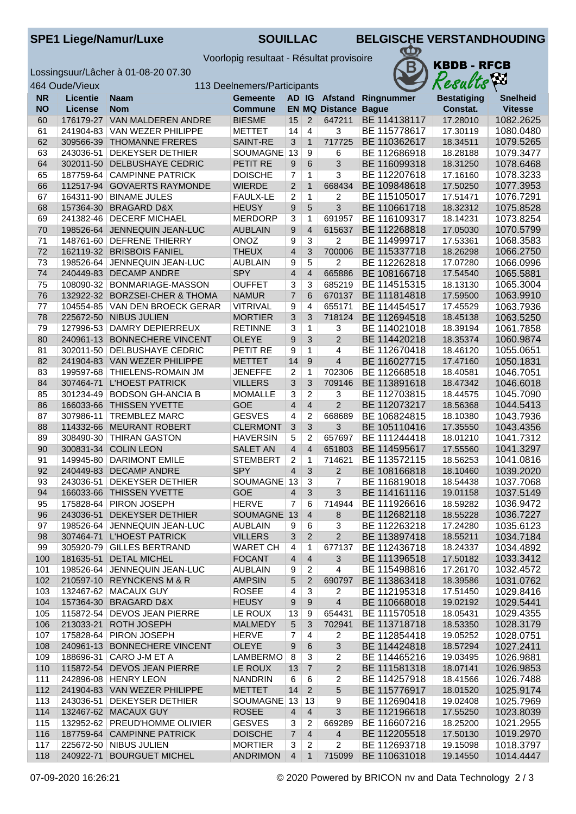SPE1 Liege/Namur/Luxe **SOUILLAC** BELGISCHE VERSTANDHOUDING

Voorlopig resultaat - Résultat provisoire

Lossingsuur/Lâcher à 01-08-20 07.30



|           | 464 Oude/Vieux         |                                            | 113 Deelnemers/Participants        |                                  |                                  |                             | λm<br>Results                |                      |                        |
|-----------|------------------------|--------------------------------------------|------------------------------------|----------------------------------|----------------------------------|-----------------------------|------------------------------|----------------------|------------------------|
| <b>NR</b> | <b>Licentie</b>        | <b>Naam</b>                                | <b>Gemeente</b>                    |                                  |                                  |                             | AD IG Afstand Ringnummer     | <b>Bestatiging</b>   | <b>Snelheid</b>        |
| <b>NO</b> | License                | <b>Nom</b>                                 | <b>Commune</b>                     |                                  |                                  | <b>EN MQ Distance Bague</b> |                              | Constat.             | <b>Vitesse</b>         |
| 60        | 176179-27              | VAN MALDEREN ANDRE                         | <b>BIESME</b>                      | 15                               | $\overline{2}$                   | 647211                      | BE 114138117                 | 17.28010             | 1082.2625              |
| 61        | 241904-83              | VAN WEZER PHILIPPE                         | <b>METTET</b>                      | 14                               | $\overline{4}$                   | 3                           | BE 115778617                 | 17.30119             | 1080.0480              |
| 62        | 309566-39              | <b>THOMANNE FRERES</b>                     | SAINT-RE                           | 3                                | $\overline{1}$                   | 717725                      | BE 110362617                 | 18.34511             | 1079.5265              |
| 63        | 243036-51              | <b>DEKEYSER DETHIER</b>                    | SOUMAGNE                           | 13                               | 9                                | 6                           | BE 112686918                 | 18.28188             | 1079.3477              |
| 64        | 302011-50              | DELBUSHAYE CEDRIC                          | PETIT RE                           | 9                                | 6                                | $\overline{3}$              | BE 116099318                 | 18.31250             | 1078.6468              |
| 65        | 187759-64              | <b>CAMPINNE PATRICK</b>                    | <b>DOISCHE</b>                     | $\overline{7}$                   | $\mathbf{1}$                     | $\overline{3}$              | BE 112207618                 | 17.16160             | 1078.3233              |
| 66        | 112517-94              | <b>GOVAERTS RAYMONDE</b>                   | <b>WIERDE</b>                      | $\overline{2}$                   | $\mathbf{1}$                     | 668434                      | BE 109848618                 | 17.50250             | 1077.3953              |
| 67        | 164311-90              | <b>BINAME JULES</b>                        | <b>FAULX-LE</b>                    | 2                                | 1                                | 2                           | BE 115105017                 | 17.51471             | 1076.7291              |
| 68        | 157364-30              | <b>BRAGARD D&amp;X</b>                     | <b>HEUSY</b>                       | $\boldsymbol{9}$                 | $5\phantom{.}$                   | 3                           | BE 110661718                 | 18.32312             | 1075.8528              |
| 69        | 241382-46              | <b>DECERF MICHAEL</b>                      | <b>MERDORP</b>                     | 3                                | $\mathbf{1}$                     | 691957                      | BE 116109317                 | 18.14231             | 1073.8254              |
| 70        |                        | 198526-64 JENNEQUIN JEAN-LUC               | <b>AUBLAIN</b>                     | $\boldsymbol{9}$                 | $\overline{4}$                   | 615637                      | BE 112268818                 | 17.05030             | 1070.5799              |
| 71        | 148761-60              | <b>DEFRENE THIERRY</b>                     | ONOZ                               | 9                                | $\overline{3}$                   | $\overline{2}$              | BE 114999717                 | 17.53361             | 1068.3583              |
| 72        | 162119-32              | <b>BRISBOIS FANIEL</b>                     | <b>THEUX</b>                       | $\overline{4}$                   | 3                                | 700006                      | BE 115337718                 | 18.26298             | 1066.2750              |
| 73        | 198526-64              | JENNEQUIN JEAN-LUC                         | <b>AUBLAIN</b>                     | 9                                | 5                                | $\overline{2}$              | BE 112262818                 | 17.07280             | 1066.0996              |
| 74        | 240449-83              | <b>DECAMP ANDRE</b>                        | <b>SPY</b>                         | $\overline{\mathbf{4}}$          | $\overline{4}$                   | 665886                      | BE 108166718                 | 17.54540             | 1065.5881              |
| 75        | 108090-32              | BONMARIAGE-MASSON                          | <b>OUFFET</b>                      | 3                                | 3                                | 685219                      | BE 114515315                 | 18.13130             | 1065.3004              |
| 76        | 132922-32              | <b>BORZSEI-CHER &amp; THOMA</b>            | <b>NAMUR</b>                       | $\overline{7}$                   | 6                                | 670137                      | BE 111814818                 | 17.59500             | 1063.9910              |
| 77        | 104554-85              | VAN DEN BROECK GERAR                       | <b>VITRIVAL</b>                    | 9                                | $\overline{4}$                   | 655171                      | BE 114454517                 | 17.45529             | 1063.7936              |
| 78        | 225672-50              | <b>NIBUS JULIEN</b>                        | <b>MORTIER</b>                     | 3                                | 3                                | 718124                      | BE 112694518                 | 18.45138             | 1063.5250              |
| 79        | 127996-53              | <b>DAMRY DEPIERREUX</b>                    | <b>RETINNE</b>                     | 3                                | $\mathbf{1}$                     | $\overline{3}$              | BE 114021018                 | 18.39194             | 1061.7858              |
| 80        | 240961-13              | <b>BONNECHERE VINCENT</b>                  | <b>OLEYE</b>                       | 9                                | 3                                | $\overline{2}$              | BE 114420218                 | 18.35374             | 1060.9874              |
| 81        | 302011-50              | DELBUSHAYE CEDRIC                          | PETIT RE                           | 9                                | $\mathbf{1}$                     | 4                           | BE 112670418                 | 18.46120             | 1055.0651              |
| 82        | 241904-83              | VAN WEZER PHILIPPE                         | <b>METTET</b>                      | 14                               | 9                                | $\overline{4}$              | BE 116027715                 | 17.47160             | 1050.1831              |
| 83        | 199597-68              | THIELENS-ROMAIN JM                         | <b>JENEFFE</b>                     | $\overline{2}$                   | $\mathbf{1}$                     | 702306                      | BE 112668518                 | 18.40581             | 1046.7051              |
| 84        | 307464-71              | <b>L'HOEST PATRICK</b>                     | <b>VILLERS</b>                     | 3                                | 3                                | 709146                      | BE 113891618                 | 18.47342             | 1046.6018              |
| 85        | 301234-49              | <b>BODSON GH-ANCIA B</b>                   | <b>MOMALLE</b>                     | 3                                | 2                                | 3                           | BE 112703815                 | 18.44575             | 1045.7090              |
| 86        | 166033-66              | THISSEN YVETTE                             | <b>GOE</b>                         | $\overline{4}$                   | $\overline{4}$                   | $\overline{2}$              | BE 112073217                 | 18.56368             | 1044.5413              |
| 87        | 307986-11              | <b>TREMBLEZ MARC</b>                       | <b>GESVES</b>                      | $\overline{4}$                   | $\overline{c}$                   | 668689                      | BE 106824815                 | 18.10380             | 1043.7936              |
| 88        | 114332-66              | <b>MEURANT ROBERT</b>                      | <b>CLERMONT</b>                    | $\overline{3}$                   | $\overline{3}$                   | 3                           | BE 105110416                 | 17.35550             | 1043.4356              |
| 89        | 308490-30              | <b>THIRAN GASTON</b>                       | <b>HAVERSIN</b>                    | 5                                | $\overline{2}$<br>$\overline{4}$ | 657697                      | BE 111244418                 | 18.01210             | 1041.7312              |
| 90        | 300831-34              | <b>COLIN LEON</b><br><b>DARIMONT EMILE</b> | <b>SALET AN</b><br><b>STEMBERT</b> | $\overline{4}$                   |                                  | 651803                      | BE 114595617<br>BE 113572115 | 17.55560<br>18.56253 | 1041.3297<br>1041.0816 |
| 91<br>92  | 149945-80<br>240449-83 | <b>DECAMP ANDRE</b>                        | <b>SPY</b>                         | $\overline{c}$<br>$\overline{4}$ | $\mathbf{1}$<br>3                | 714621<br>$\overline{2}$    | BE 108166818                 | 18.10460             | 1039.2020              |
| 93        | 243036-51              | <b>DEKEYSER DETHIER</b>                    | <b>SOUMAGNE</b>                    | 13                               | 3                                | $\overline{7}$              | BE 116819018                 | 18.54438             | 1037.7068              |
| 94        | 166033-66              | <b>THISSEN YVETTE</b>                      | <b>GOE</b>                         | $\overline{4}$                   | 3                                | 3                           | BE 114161116                 | 19.01158             | 1037.5149              |
| 95        |                        | 175828-64 PIRON JOSEPH                     | <b>HERVE</b>                       | $\overline{7}$                   | 6                                | 714944                      | BE 111926616                 | 18.59282             | 1036.9472              |
| 96        |                        | 243036-51 DEKEYSER DETHIER                 | SOUMAGNE 13                        |                                  | $\overline{4}$                   | 8                           | BE 112682118                 | 18.55228             | 1036.7227              |
| 97        |                        | 198526-64 JENNEQUIN JEAN-LUC               | <b>AUBLAIN</b>                     | 9                                | 6                                | 3                           | BE 112263218                 | 17.24280             | 1035.6123              |
| 98        | 307464-71              | <b>L'HOEST PATRICK</b>                     | <b>VILLERS</b>                     | 3                                | $\overline{2}$                   | $\overline{2}$              | BE 113897418                 | 18.55211             | 1034.7184              |
| 99        |                        | 305920-79 GILLES BERTRAND                  | <b>WARET CH</b>                    | 4                                | $\mathbf{1}$                     | 677137                      | BE 112436718                 | 18.24337             | 1034.4892              |
| 100       | 181635-51              | <b>DETAL MICHEL</b>                        | <b>FOCANT</b>                      | $\overline{4}$                   | $\overline{4}$                   | 3                           | BE 111396518                 | 17.50182             | 1033.3412              |
| 101       |                        | 198526-64 JENNEQUIN JEAN-LUC               | <b>AUBLAIN</b>                     | 9                                | $\overline{2}$                   | 4                           | BE 115498816                 | 17.26170             | 1032.4572              |
| 102       |                        | 210597-10 REYNCKENS M & R                  | <b>AMPSIN</b>                      | 5                                | $\overline{2}$                   | 690797                      | BE 113863418                 | 18.39586             | 1031.0762              |
| 103       |                        | 132467-62   MACAUX GUY                     | <b>ROSEE</b>                       | 4                                | 3                                | 2                           | BE 112195318                 | 17.51450             | 1029.8416              |
| 104       | 157364-30              | <b>BRAGARD D&amp;X</b>                     | <b>HEUSY</b>                       | 9                                | 9                                | $\overline{4}$              | BE 110668018                 | 19.02192             | 1029.5441              |
| 105       |                        | 115872-54 DEVOS JEAN PIERRE                | LE ROUX                            | 13                               | 9                                | 654431                      | BE 111570518                 | 18.05431             | 1029.4355              |
| 106       |                        | 213033-21 ROTH JOSEPH                      | <b>MALMEDY</b>                     | $\sqrt{5}$                       | $\mathbf{3}$                     | 702941                      | BE 113718718                 | 18.53350             | 1028.3179              |
| 107       | 175828-64              | PIRON JOSEPH                               | <b>HERVE</b>                       | 7                                | 4                                | $\overline{2}$              | BE 112854418                 | 19.05252             | 1028.0751              |
| 108       | 240961-13              | <b>BONNECHERE VINCENT</b>                  | <b>OLEYE</b>                       | 9                                | 6                                | $\overline{3}$              | BE 114424818                 | 18.57294             | 1027.2411              |
| 109       | 188696-31              | CARO J-M ET A                              | LAMBERMO                           | 8                                | 3                                | 2                           | BE 114465216                 | 19.03495             | 1026.9881              |
| 110       | 115872-54              | DEVOS JEAN PIERRE                          | LE ROUX                            | 13                               | $\overline{7}$                   | $\overline{2}$              | BE 111581318                 | 18.07141             | 1026.9853              |
| 111       | 242896-08              | <b>HENRY LEON</b>                          | <b>NANDRIN</b>                     | 6                                | 6                                | 2                           | BE 114257918                 | 18.41566             | 1026.7488              |
| 112       |                        | 241904-83 VAN WEZER PHILIPPE               | <b>METTET</b>                      | 14                               | $\overline{2}$                   | 5                           | BE 115776917                 | 18.01520             | 1025.9174              |
| 113       | 243036-51              | DEKEYSER DETHIER                           | SOUMAGNE                           | 13                               | 13                               | 9                           | BE 112690418                 | 19.02408             | 1025.7969              |
| 114       |                        | 132467-62 MACAUX GUY                       | <b>ROSEE</b>                       | $\overline{4}$                   | $\overline{4}$                   | $\mathfrak{S}$              | BE 112196618                 | 17.55250             | 1023.8039              |
| 115       |                        | 132952-62 PREUD'HOMME OLIVIER              | <b>GESVES</b>                      | 3                                | $\overline{2}$                   | 669289                      | BE 116607216                 | 18.25200             | 1021.2955              |
| 116       |                        | 187759-64 CAMPINNE PATRICK                 | <b>DOISCHE</b>                     | $\overline{7}$                   | $\overline{4}$                   | $\overline{4}$              | BE 112205518                 | 17.50130             | 1019.2970              |
| 117       |                        | 225672-50 NIBUS JULIEN                     | <b>MORTIER</b>                     | 3                                | $\overline{2}$                   | $\overline{2}$              | BE 112693718                 | 19.15098             | 1018.3797              |
| 118       | 240922-71              | <b>BOURGUET MICHEL</b>                     | <b>ANDRIMON</b>                    | $\overline{4}$                   | $\mathbf{1}$                     | 715099                      | BE 110631018                 | 19.14550             | 1014.4447              |